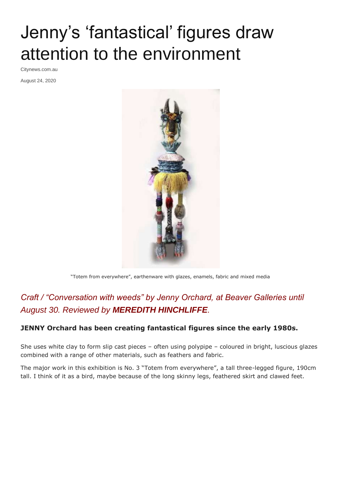## Jenny's 'fantastical' figures draw attention to the environment

Citynews.com.au

August 24, 2020



"Totem from everywhere", earthenware with glazes, enamels, fabric and mixed media

## *Craft / "Conversation with weeds" by Jenny Orchard, at Beaver Galleries until August 30. Reviewed by MEREDITH HINCHLIFFE.*

## **JENNY Orchard has been creating fantastical figures since the early 1980s.**

She uses white clay to form slip cast pieces – often using polypipe – coloured in bright, luscious glazes combined with a range of other materials, such as feathers and fabric.

The major work in this exhibition is No. 3 "Totem from everywhere", a tall three-legged figure, 190cm tall. I think of it as a bird, maybe because of the long skinny legs, feathered skirt and clawed feet.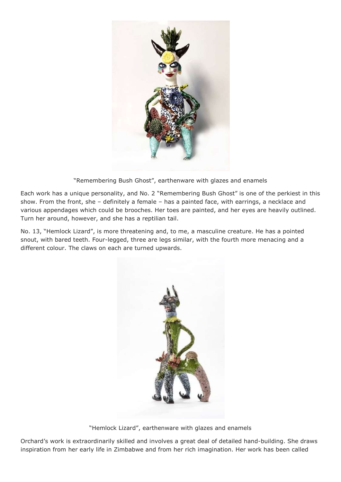

"Remembering Bush Ghost", earthenware with glazes and enamels

Each work has a unique personality, and No. 2 "Remembering Bush Ghost" is one of the perkiest in this show. From the front, she – definitely a female – has a painted face, with earrings, a necklace and various appendages which could be brooches. Her toes are painted, and her eyes are heavily outlined. Turn her around, however, and she has a reptilian tail.

No. 13, "Hemlock Lizard", is more threatening and, to me, a masculine creature. He has a pointed snout, with bared teeth. Four-legged, three are legs similar, with the fourth more menacing and a different colour. The claws on each are turned upwards.



"Hemlock Lizard", earthenware with glazes and enamels

Orchard's work is extraordinarily skilled and involves a great deal of detailed hand-building. She draws inspiration from her early life in Zimbabwe and from her rich imagination. Her work has been called